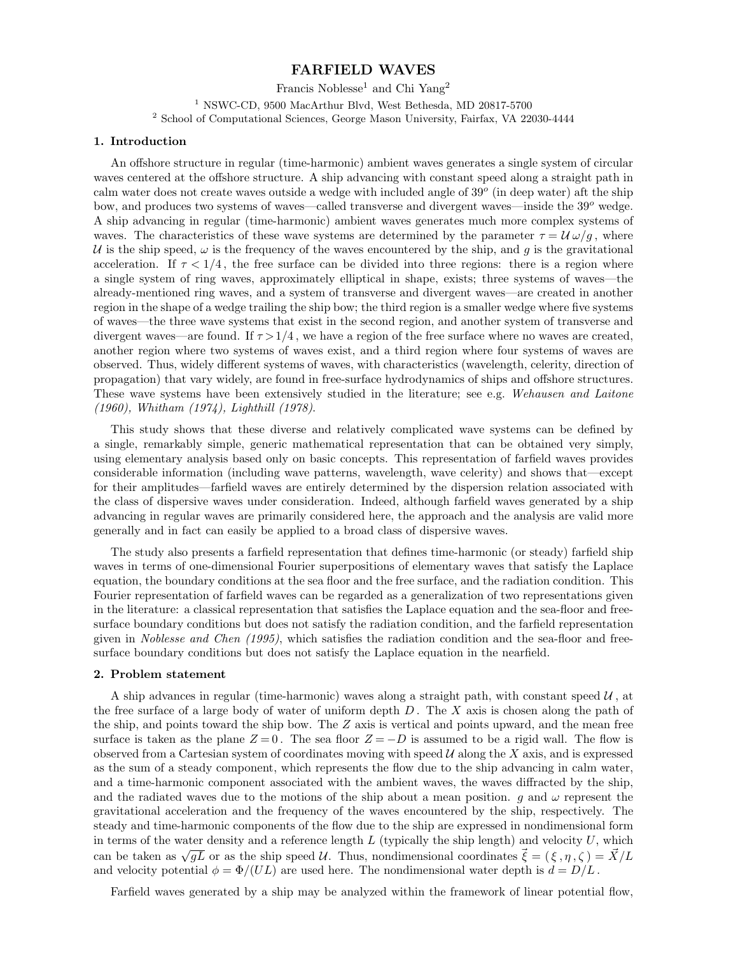## **FARFIELD WAVES**

Francis Noblesse<sup>1</sup> and Chi Yang<sup>2</sup> <sup>1</sup> NSWC-CD, 9500 MacArthur Blvd, West Bethesda, MD 20817-5700 <sup>2</sup> School of Computational Sciences, George Mason University, Fairfax, VA 22030-4444

### **1. Introduction**

An offshore structure in regular (time-harmonic) ambient waves generates a single system of circular waves centered at the offshore structure. A ship advancing with constant speed along a straight path in calm water does not create waves outside a wedge with included angle of 39*<sup>o</sup>* (in deepwater) aft the ship bow, and produces two systems of waves—called transverse and divergent waves—inside the 39*<sup>o</sup>* wedge. A shipadvancing in regular (time-harmonic) ambient waves generates much more complex systems of waves. The characteristics of these wave systems are determined by the parameter  $\tau = \mathcal{U} \omega / q$ , where U is the ship speed,  $\omega$  is the frequency of the waves encountered by the ship, and g is the gravitational acceleration. If  $\tau < 1/4$ , the free surface can be divided into three regions: there is a region where a single system of ring waves, approximately elliptical in shape, exists; three systems of waves—the already-mentioned ring waves, and a system of transverse and divergent waves—are created in another region in the shape of a wedge trailing the ship bow; the third region is a smaller wedge where five systems of waves—the three wave systems that exist in the second region, and another system of transverse and divergent waves—are found. If  $\tau > 1/4$ , we have a region of the free surface where no waves are created, another region where two systems of waves exist, and a third region where four systems of waves are observed. Thus, widely different systems of waves, with characteristics (wavelength, celerity, direction of propagation) that vary widely, are found in free-surface hydrodynamics of ships and offshore structures. These wave systems have been extensively studied in the literature; see e.g. Wehausen and Laitone (1960), Whitham (1974), Lighthill (1978).

This study shows that these diverse and relatively complicated wave systems can be defined by a single, remarkably simple, generic mathematical representation that can be obtained very simply, using elementary analysis based only on basic concepts. This representation of farfield waves provides considerable information (including wave patterns, wavelength, wave celerity) and shows that—except for their amplitudes—farfield waves are entirely determined by the dispersion relation associated with the class of dispersive waves under consideration. Indeed, although farfield waves generated by a ship advancing in regular waves are primarily considered here, the approach and the analysis are valid more generally and in fact can easily be applied to a broad class of dispersive waves.

The study also presents a farfield representation that defines time-harmonic (or steady) farfield ship waves in terms of one-dimensional Fourier superpositions of elementary waves that satisfy the Laplace equation, the boundary conditions at the sea floor and the free surface, and the radiation condition. This Fourier representation of farfield waves can be regarded as a generalization of two representations given in the literature: a classical representation that satisfies the Laplace equation and the sea-floor and freesurface boundary conditions but does not satisfy the radiation condition, and the farfield representation given in Noblesse and Chen (1995), which satisfies the radiation condition and the sea-floor and freesurface boundary conditions but does not satisfy the Laplace equation in the nearfield.

#### **2. Problem statement**

A ship advances in regular (time-harmonic) waves along a straight path, with constant speed  $\mathcal{U}$ , at the free surface of a large body of water of uniform depth *D* . The *X* axis is chosen along the path of the ship, and points toward the ship bow. The *Z* axis is vertical and points upward, and the mean free surface is taken as the plane  $Z = 0$ . The sea floor  $Z = -D$  is assumed to be a rigid wall. The flow is observed from a Cartesian system of coordinates moving with speed  $U$  along the  $X$  axis, and is expressed as the sum of a steady component, which represents the flow due to the ship advancing in calm water, and a time-harmonic component associated with the ambient waves, the waves diffracted by the ship, and the radiated waves due to the motions of the ship about a mean position. *g* and  $\omega$  represent the gravitational acceleration and the frequency of the waves encountered by the ship, respectively. The steady and time-harmonic components of the flow due to the ship are expressed in nondimensional form in terms of the water density and a reference length  $L$  (typically the ship length) and velocity  $U$ , which can be taken as  $\sqrt{gL}$  or as the ship speed U. Thus, nondimensional coordinates  $\vec{\xi} = (\xi, \eta, \zeta) = \vec{X}/L$ and velocity potential  $\phi = \Phi/(UL)$  are used here. The nondimensional water depth is  $d = D/L$ .

Farfield waves generated by a ship may be analyzed within the framework of linear potential flow,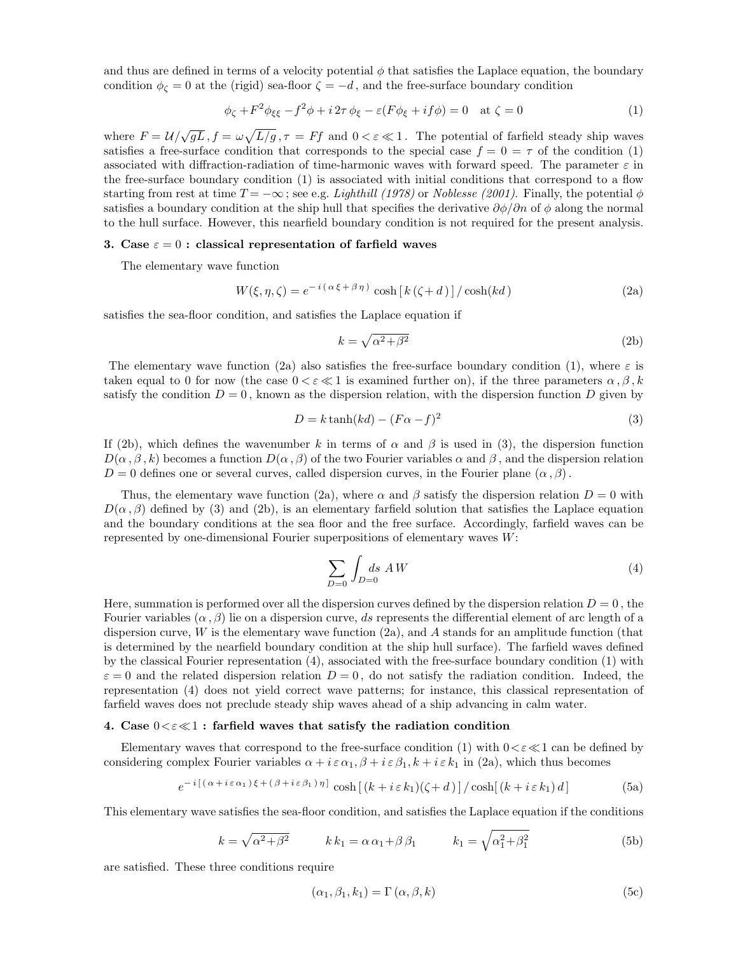and thus are defined in terms of a velocity potential  $\phi$  that satisfies the Laplace equation, the boundary condition  $\phi_{\zeta} = 0$  at the (rigid) sea-floor  $\zeta = -d$ , and the free-surface boundary condition

$$
\phi_{\zeta} + F^2 \phi_{\xi\xi} - f^2 \phi + i 2\tau \phi_{\xi} - \varepsilon (F \phi_{\xi} + if \phi) = 0 \quad \text{at } \zeta = 0 \tag{1}
$$

where  $F = \frac{\mu}{\sqrt{gL}}$ ,  $f = \omega \sqrt{\frac{L}{g}}$ ,  $\tau = Ff$  and  $0 < \varepsilon \ll 1$ . The potential of farfield steady ship waves satisfies a free-surface condition that corresponds to the special case  $f = 0 = \tau$  of the condition (1) associated with diffraction-radiation of time-harmonic waves with forward speed. The parameter *ε* in the free-surface boundary condition (1) is associated with initial conditions that correspond to a flow starting from rest at time  $T = -\infty$ ; see e.g. Lighthill (1978) or Noblesse (2001). Finally, the potential  $\phi$ satisfies a boundary condition at the ship hull that specifies the derivative  $\partial \phi / \partial n$  of  $\phi$  along the normal to the hull surface. However, this nearfield boundary condition is not required for the present analysis.

### **3. Case** *ε* = 0 **: classical representation of farfield waves**

The elementary wave function

$$
W(\xi, \eta, \zeta) = e^{-i(\alpha \xi + \beta \eta)} \cosh[k(\zeta + d)] / \cosh(kd)
$$
\n(2a)

satisfies the sea-floor condition, and satisfies the Laplace equation if

$$
k = \sqrt{\alpha^2 + \beta^2} \tag{2b}
$$

The elementary wave function (2a) also satisfies the free-surface boundary condition (1), where  $\varepsilon$  is taken equal to 0 for now (the case  $0 < \varepsilon \ll 1$  is examined further on), if the three parameters  $\alpha, \beta, k$ satisfy the condition  $D = 0$ , known as the dispersion relation, with the dispersion function *D* given by

$$
D = k \tanh(kd) - (F\alpha - f)^2 \tag{3}
$$

If (2b), which defines the wavenumber k in terms of  $\alpha$  and  $\beta$  is used in (3), the dispersion function  $D(\alpha, \beta, k)$  becomes a function  $D(\alpha, \beta)$  of the two Fourier variables  $\alpha$  and  $\beta$ , and the dispersion relation  $D = 0$  defines one or several curves, called dispersion curves, in the Fourier plane  $(\alpha, \beta)$ .

Thus, the elementary wave function (2a), where  $\alpha$  and  $\beta$  satisfy the dispersion relation  $D = 0$  with  $D(\alpha, \beta)$  defined by (3) and (2b), is an elementary farfield solution that satisfies the Laplace equation and the boundary conditions at the sea floor and the free surface. Accordingly, farfield waves can be represented by one-dimensional Fourier superpositions of elementary waves *W*:

$$
\sum_{D=0} \int_{D=0} ds \, AW \tag{4}
$$

Here, summation is performed over all the dispersion curves defined by the dispersion relation  $D = 0$ , the Fourier variables (*α,β*) lie on a dispersion curve, *ds* represents the differential element of arc length of a dispersion curve, *W* is the elementary wave function (2a), and *A* stands for an amplitude function (that is determined by the nearfield boundary condition at the shiphull surface). The farfield waves defined by the classical Fourier representation (4), associated with the free-surface boundary condition (1) with  $\varepsilon = 0$  and the related dispersion relation  $D = 0$ , do not satisfy the radiation condition. Indeed, the representation (4) does not yield correct wave patterns; for instance, this classical representation of farfield waves does not preclude steady ship waves ahead of a ship advancing in calm water.

### **4.** Case  $0 < \varepsilon \ll 1$  : farfield waves that satisfy the radiation condition

Elementary waves that correspond to the free-surface condition (1) with  $0 < \varepsilon \ll 1$  can be defined by considering complex Fourier variables  $\alpha + i \epsilon \alpha_1$ ,  $\beta + i \epsilon \beta_1$ ,  $k + i \epsilon k_1$  in (2a), which thus becomes

$$
e^{-i[(\alpha+i\varepsilon\alpha_1)\xi+(\beta+i\varepsilon\beta_1)\eta]}\cosh[(k+i\varepsilon k_1)(\zeta+d)]/\cosh[(k+i\varepsilon k_1)d]
$$
 (5a)

This elementary wave satisfies the sea-floor condition, and satisfies the Laplace equation if the conditions

$$
k = \sqrt{\alpha^2 + \beta^2} \qquad k k_1 = \alpha \alpha_1 + \beta \beta_1 \qquad k_1 = \sqrt{\alpha_1^2 + \beta_1^2} \tag{5b}
$$

are satisfied. These three conditions require

$$
(\alpha_1, \beta_1, k_1) = \Gamma(\alpha, \beta, k) \tag{5c}
$$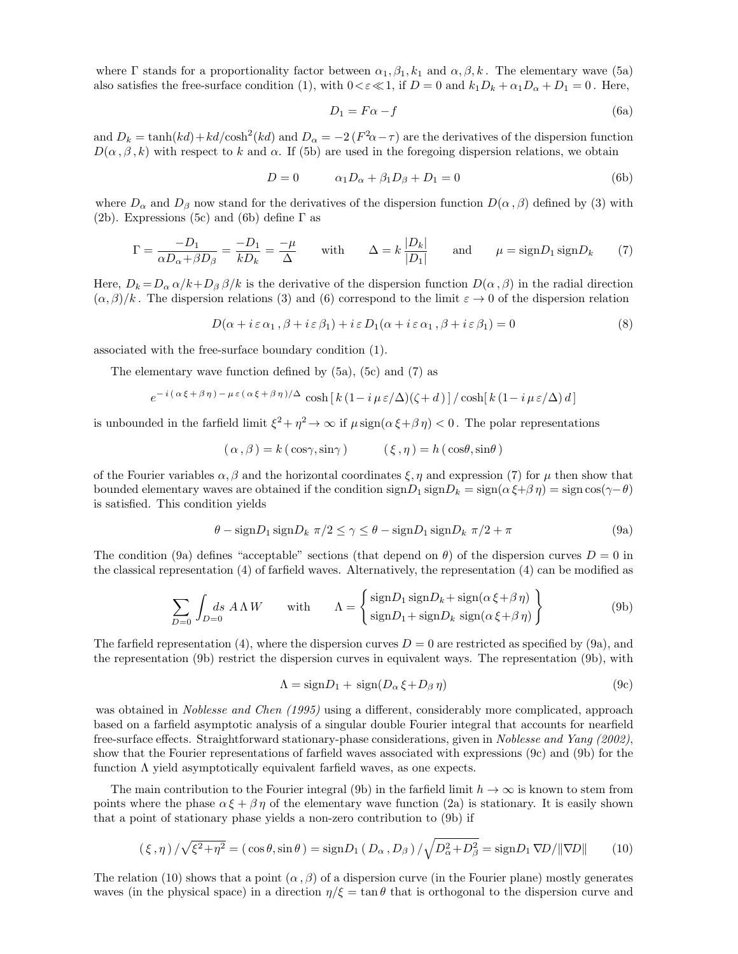where  $\Gamma$  stands for a proportionality factor between  $\alpha_1, \beta_1, k_1$  and  $\alpha, \beta, k$ . The elementary wave (5a) also satisfies the free-surface condition (1), with  $0 < \varepsilon \ll 1$ , if  $D = 0$  and  $k_1 D_k + \alpha_1 D_\alpha + D_1 = 0$ . Here,

$$
D_1 = F\alpha - f \tag{6a}
$$

and  $D_k = \tanh(kd) + kd/\cosh^2(kd)$  and  $D_\alpha = -2(F^2\alpha - \tau)$  are the derivatives of the dispersion function  $D(\alpha, \beta, k)$  with respect to *k* and  $\alpha$ . If (5b) are used in the foregoing dispersion relations, we obtain

$$
D = 0 \qquad \alpha_1 D_\alpha + \beta_1 D_\beta + D_1 = 0 \tag{6b}
$$

where  $D_{\alpha}$  and  $D_{\beta}$  now stand for the derivatives of the dispersion function  $D(\alpha, \beta)$  defined by (3) with (2b). Expressions (5c) and (6b) define  $\Gamma$  as

$$
\Gamma = \frac{-D_1}{\alpha D_\alpha + \beta D_\beta} = \frac{-D_1}{k D_k} = \frac{-\mu}{\Delta} \quad \text{with} \quad \Delta = k \frac{|D_k|}{|D_1|} \quad \text{and} \quad \mu = \text{sign} D_1 \,\text{sign} D_k \tag{7}
$$

Here,  $D_k = D_\alpha \alpha / k + D_\beta \beta / k$  is the derivative of the dispersion function  $D(\alpha, \beta)$  in the radial direction  $(\alpha, \beta)/k$ . The dispersion relations (3) and (6) correspond to the limit  $\varepsilon \to 0$  of the dispersion relation

$$
D(\alpha + i \varepsilon \alpha_1, \beta + i \varepsilon \beta_1) + i \varepsilon D_1(\alpha + i \varepsilon \alpha_1, \beta + i \varepsilon \beta_1) = 0
$$
\n(8)

associated with the free-surface boundary condition (1).

The elementary wave function defined by (5a), (5c) and (7) as

$$
e^{-i(\alpha\xi+\beta\eta)-\mu\varepsilon(\alpha\xi+\beta\eta)/\Delta}\cosh\left[k(1-i\mu\varepsilon/\Delta)(\zeta+d)\right]/\cosh\left[k(1-i\mu\varepsilon/\Delta)d\right]
$$

is unbounded in the farfield limit  $\xi^2 + \eta^2 \to \infty$  if  $\mu \text{sign}(\alpha \xi + \beta \eta) < 0$ . The polar representations

$$
(\alpha, \beta) = k(\cos\gamma, \sin\gamma) \qquad (\xi, \eta) = h(\cos\theta, \sin\theta)
$$

of the Fourier variables  $\alpha$ ,  $\beta$  and the horizontal coordinates  $\xi$ ,  $\eta$  and expression (7) for  $\mu$  then show that bounded elementary waves are obtained if the condition  $\text{sign}D_1 \text{sign}D_k = \text{sign}(\alpha \xi + \beta \eta) = \text{sign} \cos(\gamma - \theta)$ is satisfied. This condition yields

$$
\theta - \text{sign} D_1 \text{ sign} D_k \ \pi/2 \le \gamma \le \theta - \text{sign} D_1 \text{ sign} D_k \ \pi/2 + \pi \tag{9a}
$$

The condition (9a) defines "acceptable" sections (that depend on  $\theta$ ) of the dispersion curves  $D = 0$  in the classical representation (4) of farfield waves. Alternatively, the representation (4) can be modified as

$$
\sum_{D=0} \int_{D=0} ds \ A \Lambda W \qquad \text{with} \qquad \Lambda = \left\{ \frac{\text{sign} D_1 \ \text{sign} D_k + \text{sign} (\alpha \xi + \beta \eta)}{\text{sign} D_1 + \text{sign} D_k \ \text{sign} (\alpha \xi + \beta \eta)} \right\} \tag{9b}
$$

The farfield representation (4), where the dispersion curves  $D = 0$  are restricted as specified by (9a), and the representation (9b) restrict the dispersion curves in equivalent ways. The representation (9b), with

$$
\Lambda = signD_1 + sign(D_\alpha \xi + D_\beta \eta) \tag{9c}
$$

was obtained in *Noblesse and Chen (1995)* using a different, considerably more complicated, approach based on a farfield asymptotic analysis of a singular double Fourier integral that accounts for nearfield free-surface effects. Straightforward stationary-phase considerations, given in Noblesse and Yang (2002), show that the Fourier representations of farfield waves associated with expressions (9c) and (9b) for the function  $\Lambda$  yield asymptotically equivalent farfield waves, as one expects.

The main contribution to the Fourier integral (9b) in the farfield limit  $h \to \infty$  is known to stem from points where the phase  $\alpha \xi + \beta \eta$  of the elementary wave function (2a) is stationary. It is easily shown that a point of stationary phase yields a non-zero contribution to (9b) if

$$
(\xi, \eta) / \sqrt{\xi^2 + \eta^2} = (\cos \theta, \sin \theta) = \text{sign} D_1 (D_\alpha, D_\beta) / \sqrt{D_\alpha^2 + D_\beta^2} = \text{sign} D_1 \nabla D / ||\nabla D|| \tag{10}
$$

The relation (10) shows that a point  $(\alpha, \beta)$  of a dispersion curve (in the Fourier plane) mostly generates waves (in the physical space) in a direction  $\eta/\xi = \tan \theta$  that is orthogonal to the dispersion curve and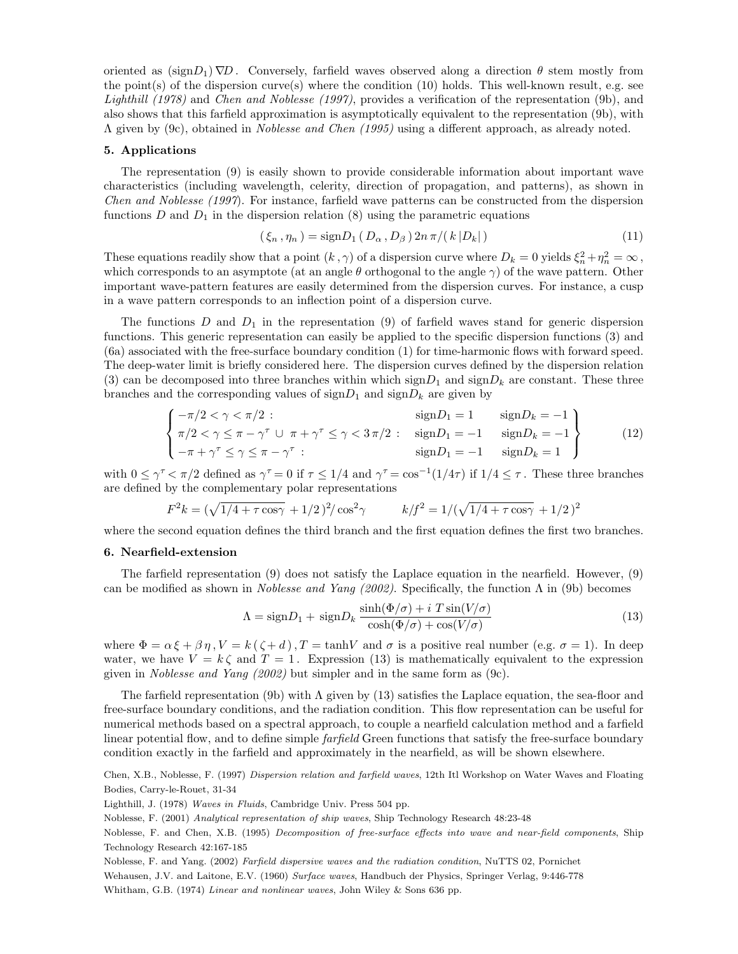oriented as  $(\text{sign}D_1)\nabla D$ . Conversely, farfield waves observed along a direction  $\theta$  stem mostly from the point(s) of the dispersion curve(s) where the condition  $(10)$  holds. This well-known result, e.g. see Lighthill (1978) and Chen and Noblesse (1997), provides a verification of the representation (9b), and also shows that this farfield approximation is asymptotically equivalent to the representation (9b), with Λ given by (9c), obtained in Noblesse and Chen (1995) using a different approach, as already noted.

#### **5. Applications**

The representation (9) is easily shown to provide considerable information about important wave characteristics (including wavelength, celerity, direction of propagation, and patterns), as shown in Chen and Noblesse (1997). For instance, farfield wave patterns can be constructed from the dispersion functions *D* and  $D_1$  in the dispersion relation (8) using the parametric equations

$$
(\xi_n, \eta_n) = \text{sign} D_1(D_\alpha, D_\beta) 2n \pi / (k |D_k|)
$$
\n(11)

These equations readily show that a point  $(k, \gamma)$  of a dispersion curve where  $D_k = 0$  yields  $\xi_n^2 + \eta_n^2 = \infty$ , which corresponds to an asymptote (at an angle  $\theta$  orthogonal to the angle  $\gamma$ ) of the wave pattern. Other important wave-pattern features are easily determined from the dispersion curves. For instance, a cusp in a wave pattern corresponds to an inflection point of a dispersion curve.

The functions *D* and  $D_1$  in the representation (9) of farfield waves stand for generic dispersion functions. This generic representation can easily be applied to the specific dispersion functions (3) and (6a) associated with the free-surface boundary condition (1) for time-harmonic flows with forward speed. The deep-water limit is briefly considered here. The dispersion curves defined by the dispersion relation (3) can be decomposed into three branches within which  $\text{sign}D_1$  and  $\text{sign}D_k$  are constant. These three branches and the corresponding values of  $\text{sign}D_1$  and  $\text{sign}D_k$  are given by

$$
\begin{cases}\n-\pi/2 < \gamma < \pi/2: \\
\pi/2 < \gamma \leq \pi - \gamma^{\tau} \cup \pi + \gamma^{\tau} \leq \gamma < 3\pi/2: \quad \text{sign}D_1 = -1 \quad \text{sign}D_k = -1 \\
-\pi + \gamma^{\tau} \leq \gamma \leq \pi - \gamma^{\tau}: & \text{sign}D_1 = -1 \quad \text{sign}D_k = 1\n\end{cases}\n\tag{12}
$$

with  $0 \le \gamma^{\tau} \le \pi/2$  defined as  $\gamma^{\tau} = 0$  if  $\tau \le 1/4$  and  $\gamma^{\tau} = \cos^{-1}(1/4\tau)$  if  $1/4 \le \tau$ . These three branches are defined by the complementary polar representations

$$
F^2k = (\sqrt{1/4 + \tau \cos \gamma} + 1/2)^2 / \cos^2 \gamma \qquad k/f^2 = 1/(\sqrt{1/4 + \tau \cos \gamma} + 1/2)^2
$$

where the second equation defines the third branch and the first equation defines the first two branches.

#### **6. Nearfield-extension**

The farfield representation (9) does not satisfy the Laplace equation in the nearfield. However, (9) can be modified as shown in *Noblesse and Yang (2002)*. Specifically, the function  $\Lambda$  in (9b) becomes

$$
\Lambda = \text{sign} D_1 + \text{sign} D_k \frac{\sinh(\Phi/\sigma) + i \ T \sin(V/\sigma)}{\cosh(\Phi/\sigma) + \cos(V/\sigma)} \tag{13}
$$

where  $\Phi = \alpha \xi + \beta \eta$ ,  $V = k(\zeta + d)$ ,  $T = \tanh V$  and  $\sigma$  is a positive real number (e.g.  $\sigma = 1$ ). In deep water, we have  $V = k \zeta$  and  $T = 1$ . Expression (13) is mathematically equivalent to the expression given in Noblesse and Yang (2002) but simpler and in the same form as (9c).

The farfield representation (9b) with Λ given by (13) satisfies the Laplace equation, the sea-floor and free-surface boundary conditions, and the radiation condition. This flow representation can be useful for numerical methods based on a spectral approach, to couple a nearfield calculation method and a farfield linear potential flow, and to define simple *farfield* Green functions that satisfy the free-surface boundary condition exactly in the farfield and approximately in the nearfield, as will be shown elsewhere.

Chen, X.B., Noblesse, F. (1997) *Dispersion relation and farfield waves*, 12th Itl Workshop on Water Waves and Floating Bodies, Carry-le-Rouet, 31-34

Lighthill, J. (1978) *Waves in Fluids*, Cambridge Univ. Press 504 pp.

Noblesse, F. (2001) *Analytical representation of ship waves*, Ship Technology Research 48:23-48

Noblesse, F. and Yang. (2002) *Farfield dispersive waves and the radiation condition*, NuTTS 02, Pornichet

Wehausen, J.V. and Laitone, E.V. (1960) *Surface waves*, Handbuch der Physics, Springer Verlag, 9:446-778

Whitham, G.B. (1974) *Linear and nonlinear waves*, John Wiley & Sons 636 pp.

Noblesse, F. and Chen, X.B. (1995) *Decomposition of free-surface effects into wave and near-field components*, Ship Technology Research 42:167-185